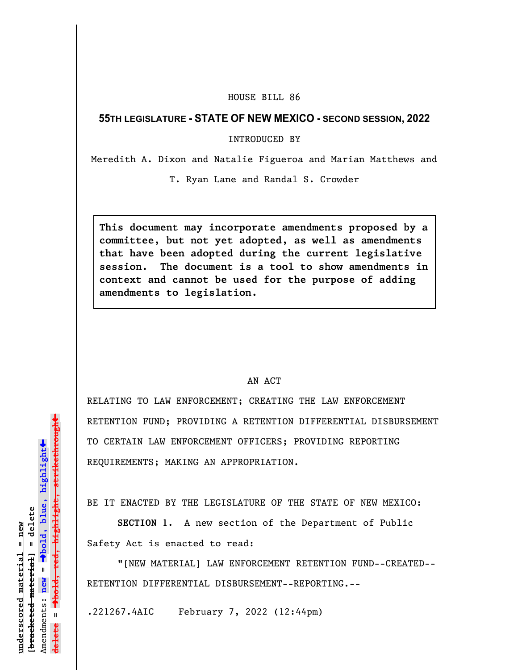## HOUSE BILL 86

## **55TH LEGISLATURE - STATE OF NEW MEXICO - SECOND SESSION, 2022**

INTRODUCED BY

Meredith A. Dixon and Natalie Figueroa and Marian Matthews and

T. Ryan Lane and Randal S. Crowder

**This document may incorporate amendments proposed by a committee, but not yet adopted, as well as amendments that have been adopted during the current legislative session. The document is a tool to show amendments in context and cannot be used for the purpose of adding amendments to legislation.**

## AN ACT

RELATING TO LAW ENFORCEMENT; CREATING THE LAW ENFORCEMENT RETENTION FUND; PROVIDING A RETENTION DIFFERENTIAL DISBURSEMENT TO CERTAIN LAW ENFORCEMENT OFFICERS; PROVIDING REPORTING REQUIREMENTS; MAKING AN APPROPRIATION.

BE IT ENACTED BY THE LEGISLATURE OF THE STATE OF NEW MEXICO:

**SECTION 1.** A new section of the Department of Public Safety Act is enacted to read:

"[NEW MATERIAL] LAW ENFORCEMENT RETENTION FUND--CREATED-- RETENTION DIFFERENTIAL DISBURSEMENT--REPORTING.--

.221267.4AIC February 7, 2022 (12:44pm)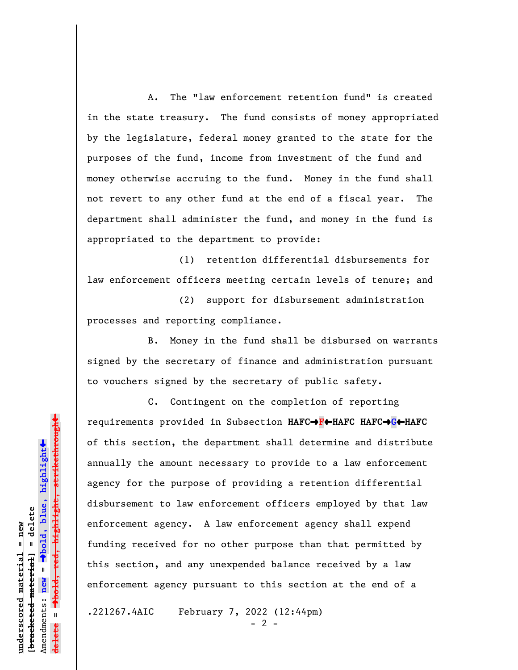A. The "law enforcement retention fund" is created in the state treasury. The fund consists of money appropriated by the legislature, federal money granted to the state for the purposes of the fund, income from investment of the fund and money otherwise accruing to the fund. Money in the fund shall not revert to any other fund at the end of a fiscal year. The department shall administer the fund, and money in the fund is appropriated to the department to provide:

(1) retention differential disbursements for law enforcement officers meeting certain levels of tenure; and

(2) support for disbursement administration processes and reporting compliance.

B. Money in the fund shall be disbursed on warrants signed by the secretary of finance and administration pursuant to vouchers signed by the secretary of public safety.

C. Contingent on the completion of reporting requirements provided in Subsection **HAFC**º**F**»**HAFC HAFC**º**G**»**HAFC** of this section, the department shall determine and distribute annually the amount necessary to provide to a law enforcement agency for the purpose of providing a retention differential disbursement to law enforcement officers employed by that law enforcement agency. A law enforcement agency shall expend funding received for no other purpose than that permitted by this section, and any unexpended balance received by a law enforcement agency pursuant to this section at the end of a

.221267.4AIC February 7, 2022 (12:44pm)

 $- 2 -$ 

 $\ddag$ º**bold, red, highlight, strikethrough**  $\ddot{\bullet}$ º**bold, blue, highlight**  $b$ racketed material] = delete **[bracketed material] = delete** inderscored material = new **underscored material = new** Amendments: **new** =  $\mathbf{u}$ Amendments: new **delete =**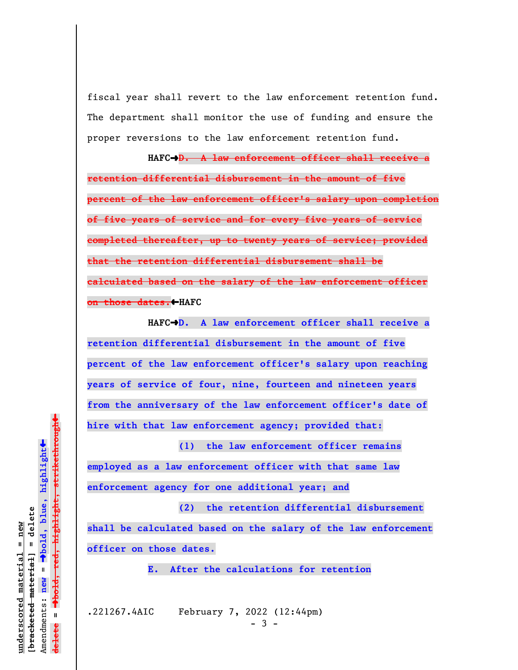fiscal year shall revert to the law enforcement retention fund. The department shall monitor the use of funding and ensure the proper reversions to the law enforcement retention fund.

**HAFC**º**D. A law enforcement officer shall receive a retention differential disbursement in the amount of five percent of the law enforcement officer's salary upon completion of five years of service and for every five years of service completed thereafter, up to twenty years of service; provided that the retention differential disbursement shall be calculated based on the salary of the law enforcement officer on those dates.**»**HAFC**

**HAFC**º**D. A law enforcement officer shall receive a retention differential disbursement in the amount of five percent of the law enforcement officer's salary upon reaching years of service of four, nine, fourteen and nineteen years from the anniversary of the law enforcement officer's date of hire with that law enforcement agency; provided that:**

**(1) the law enforcement officer remains employed as a law enforcement officer with that same law enforcement agency for one additional year; and**

**(2) the retention differential disbursement shall be calculated based on the salary of the law enforcement officer on those dates.**

**E. After the calculations for retention**

.221267.4AIC February 7, 2022 (12:44pm)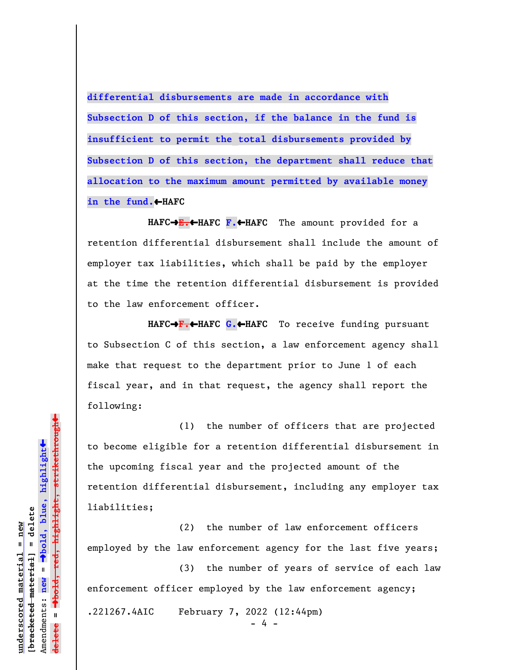**differential disbursements are made in accordance with Subsection D of this section, if the balance in the fund is insufficient to permit the total disbursements provided by Subsection D of this section, the department shall reduce that allocation to the maximum amount permitted by available money in the fund.**»**HAFC**

HAFC→<del>E.←</del>HAFC **F.←HAFC** The amount provided for a retention differential disbursement shall include the amount of employer tax liabilities, which shall be paid by the employer at the time the retention differential disbursement is provided to the law enforcement officer.

HAFC→F.←HAFC G.←HAFC To receive funding pursuant to Subsection C of this section, a law enforcement agency shall make that request to the department prior to June 1 of each fiscal year, and in that request, the agency shall report the following:

(1) the number of officers that are projected to become eligible for a retention differential disbursement in the upcoming fiscal year and the projected amount of the retention differential disbursement, including any employer tax liabilities;

(2) the number of law enforcement officers employed by the law enforcement agency for the last five years;

(3) the number of years of service of each law enforcement officer employed by the law enforcement agency; .221267.4AIC February 7, 2022 (12:44pm)  $4 -$ 

 $\ddag$ º**bold, red, highlight, strikethrough**  $\ddot{\bullet}$ º**bold, blue, highlight**  $b$ racketed material] = delete **[bracketed material] = delete** inderscored material = new **underscored material = new** Amendments: **new** =  $\bar{\mathbf{u}}$ Amendments: new  $\mathbf{u}$ **delete =** lelete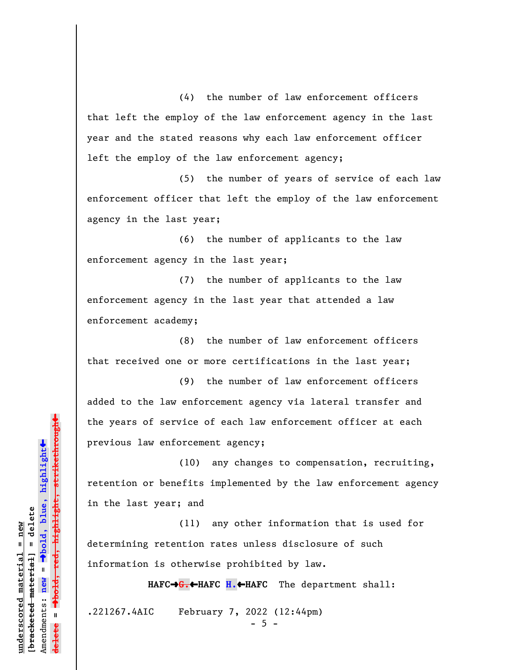(4) the number of law enforcement officers that left the employ of the law enforcement agency in the last year and the stated reasons why each law enforcement officer left the employ of the law enforcement agency;

(5) the number of years of service of each law enforcement officer that left the employ of the law enforcement agency in the last year;

(6) the number of applicants to the law enforcement agency in the last year;

(7) the number of applicants to the law enforcement agency in the last year that attended a law enforcement academy;

(8) the number of law enforcement officers that received one or more certifications in the last year;

(9) the number of law enforcement officers added to the law enforcement agency via lateral transfer and the years of service of each law enforcement officer at each previous law enforcement agency;

(10) any changes to compensation, recruiting, retention or benefits implemented by the law enforcement agency in the last year; and

(11) any other information that is used for determining retention rates unless disclosure of such information is otherwise prohibited by law.

**HAFC**º**G.**»**HAFC H.**»**HAFC** The department shall:

.221267.4AIC February 7, 2022 (12:44pm)

 $-5 -$ 

 $\ddag$ º**bold, red, highlight, strikethrough**  $\ddot{\bullet}$ º**bold, blue, highlight** bracketed material] = delete **[bracketed material] = delete** inderscored material = new **underscored material = new** Amendments: **new** = Amendments: new = **delete =**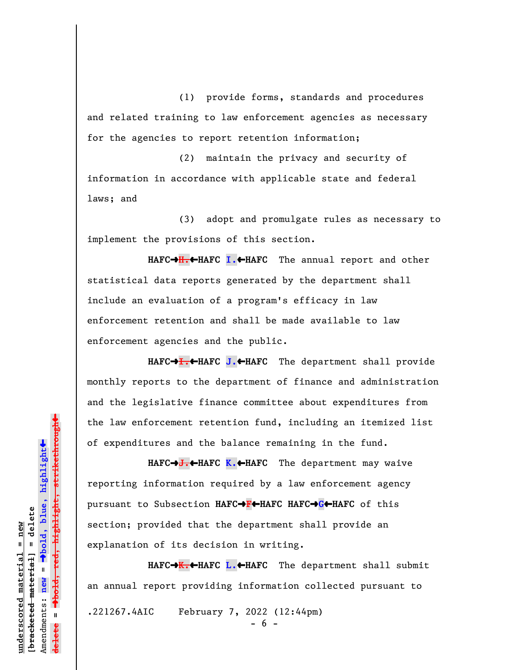(1) provide forms, standards and procedures and related training to law enforcement agencies as necessary for the agencies to report retention information;

(2) maintain the privacy and security of information in accordance with applicable state and federal laws; and

(3) adopt and promulgate rules as necessary to implement the provisions of this section.

**HAFC**º**H.**»**HAFC I.**»**HAFC** The annual report and other statistical data reports generated by the department shall include an evaluation of a program's efficacy in law enforcement retention and shall be made available to law enforcement agencies and the public.

**HAFC**º**I.**»**HAFC J.**»**HAFC** The department shall provide monthly reports to the department of finance and administration and the legislative finance committee about expenditures from the law enforcement retention fund, including an itemized list of expenditures and the balance remaining in the fund.

HAFC→<del>J.←</del>HAFC K.←HAFC The department may waive reporting information required by a law enforcement agency pursuant to Subsection **HAFC**º**F**»**HAFC HAFC**º**G**»**HAFC** of this section; provided that the department shall provide an explanation of its decision in writing.

**HAFC**º**K.**»**HAFC L.**»**HAFC** The department shall submit an annual report providing information collected pursuant to .221267.4AIC February 7, 2022 (12:44pm) - 6 -

 $\ddag$ º**bold, red, highlight, strikethrough**  $\ddot{\bullet}$ º**bold, blue, highlight**  $b$ racketed material] = delete **[bracketed material] = delete** inderscored material = new **underscored material = new** Amendments: **new** =  $\bar{\mathbf{u}}$ Amendments: new **delete =**